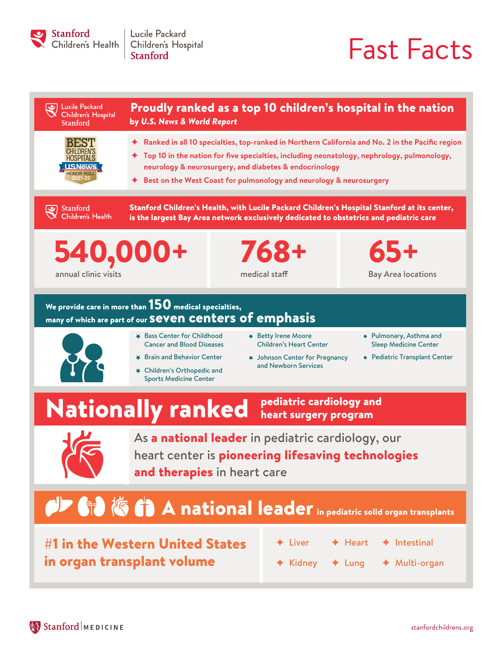

Lucile Packard Children's Hospital **Stanford** 

# Fast Facts